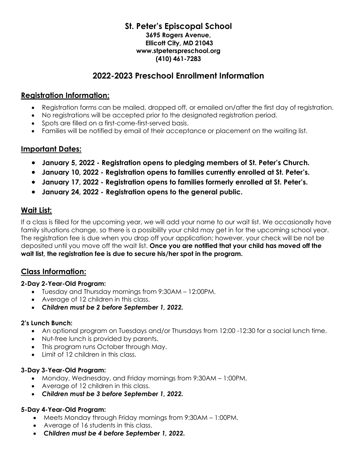#### **St. Peter's Episcopal School 3695 Rogers Avenue, Ellicott City, MD 21043 www.stpeterspreschool.org (410) 461-7283**

## **2022-2023 Preschool Enrollment Information**

## **Registration Information:**

- Registration forms can be mailed, dropped off, or emailed on/after the first day of registration.
- No registrations will be accepted prior to the designated registration period.
- Spots are filled on a first-come-first-served basis.
- Families will be notified by email of their acceptance or placement on the waiting list.

## **Important Dates:**

- **January 5, 2022 - Registration opens to pledging members of St. Peter's Church.**
- **January 10, 2022 - Registration opens to families currently enrolled at St. Peter's.**
- **January 17, 2022 - Registration opens to families formerly enrolled at St. Peter's.**
- **January 24, 2022 - Registration opens to the general public.**

## **Wait List:**

If a class is filled for the upcoming year, we will add your name to our wait list. We occasionally have family situations change, so there is a possibility your child may get in for the upcoming school year. The registration fee is due when you drop off your application; however, your check will be not be deposited until you move off the wait list. **Once you are notified that your child has moved off the wait list, the registration fee is due to secure his/her spot in the program.**

## **Class Information:**

#### **2-Day 2-Year-Old Program:**

- Tuesday and Thursday mornings from 9:30AM 12:00PM.
- Average of 12 children in this class.
- *Children must be 2 before September 1, 2022.*

#### **2's Lunch Bunch:**

- An optional program on Tuesdays and/or Thursdays from 12:00 -12:30 for a social lunch time.
- Nut-free lunch is provided by parents.
- This program runs October through May.
- Limit of 12 children in this class.

#### **3-Day 3-Year-Old Program:**

- Monday, Wednesday, and Friday mornings from 9:30AM 1:00PM.
- Average of 12 children in this class.
- *Children must be 3 before September 1, 2022.*

#### **5-Day 4-Year-Old Program:**

- Meets Monday through Friday mornings from 9:30AM 1:00PM.
- Average of 16 students in this class.
- *Children must be 4 before September 1, 2022.*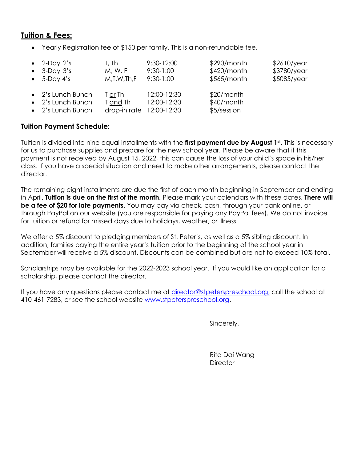## **Tuition & Fees:**

• Yearly Registration fee of \$150 per family**.** This is a non-refundable fee.

| $\bullet$ 2-Day 2's                                         | T, Th                                           | 9:30-12:00                 | \$290/month                               | \$2610/year |
|-------------------------------------------------------------|-------------------------------------------------|----------------------------|-------------------------------------------|-------------|
| $\bullet$ 3-Day 3's                                         | M, W, F                                         | $9:30-1:00$                | \$420/month                               | \$3780/year |
| $\bullet$ 5-Day 4's                                         | $M$ , T, W, Th, F                               | $9:30-1:00$                | $$565/m$ onth                             | \$5085/year |
| • 2's Lunch Bunch<br>• 2's Lunch Bunch<br>• 2's Lunch Bunch | T or Th<br>T and Th<br>drop-in rate 12:00-12:30 | 12:00-12:30<br>12:00-12:30 | $$20/m$ onth<br>\$40/month<br>\$5/session |             |

#### **Tuition Payment Schedule:**

Tuition is divided into nine equal installments with the **first payment due by August 1st** . This is necessary for us to purchase supplies and prepare for the new school year. Please be aware that if this payment is not received by August 15, 2022, this can cause the loss of your child's space in his/her class. If you have a special situation and need to make other arrangements, please contact the director.

The remaining eight installments are due the first of each month beginning in September and ending in April. **Tuition is due on the first of the month.** Please mark your calendars with these dates. **There will be a fee of \$20 for late payments**. You may pay via check, cash, through your bank online, or through PayPal on our website (you are responsible for paying any PayPal fees). We do not invoice for tuition or refund for missed days due to holidays, weather, or illness.

We offer a 5% discount to pledging members of St. Peter's, as well as a 5% sibling discount. In addition, families paying the entire year's tuition prior to the beginning of the school year in September will receive a 5% discount. Discounts can be combined but are not to exceed 10% total.

Scholarships may be available for the 2022-2023 school year. If you would like an application for a scholarship, please contact the director.

If you have any questions please contact me at [director@stpeterspreschool.org,](mailto:director@stpeterspreschool.org) call the school at 410-461-7283, or see the school website [www.stpeterspreschool.org.](http://www.stpeterspreschool.org/)

Sincerely,

Rita Dai Wang **Director**